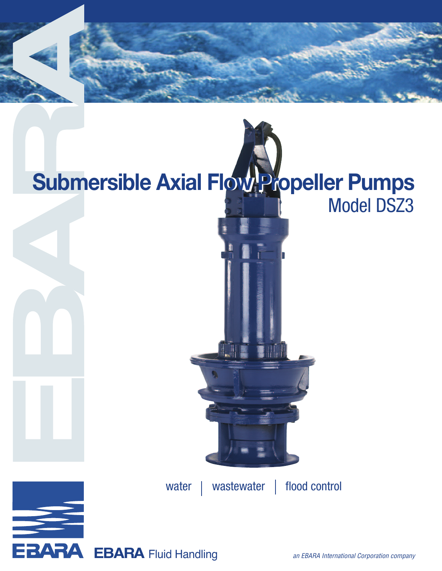

# Model DSZ3 **Submersible Axial FlowwProopeller Pumps**

water | wastewater | flood control

**EBARA** 

EBARA Fluid Handling an EBARA International Corporation company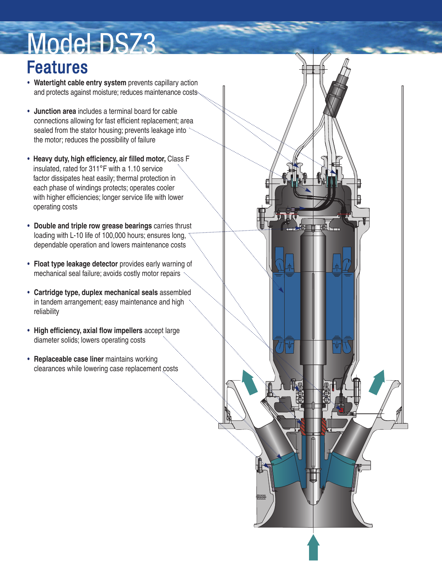# Model DSZ3

## Features

- **Watertight cable entry system** prevents capillary action and protects against moisture; reduces maintenance costs...
- **Junction area** includes a terminal board for cable connections allowing for fast efficient replacement; area sealed from the stator housing; prevents leakage into the motor; reduces the possibility of failure
- **Heavy duty, high efficiency, air filled motor,** Class F insulated, rated for 311°F with a 1.10 service factor dissipates heat easily; thermal protection in each phase of windings protects; operates cooler with higher efficiencies; longer service life with lower operating costs
- **Double and triple row grease bearings** carries thrust loading with L-10 life of 100,000 hours; ensures long, dependable operation and lowers maintenance costs
- **Float type leakage detector** provides early warning of mechanical seal failure; avoids costly motor repairs
- **Cartridge type, duplex mechanical seals** assembled in tandem arrangement; easy maintenance and high reliability
- **High efficiency, axial flow impellers** accept large diameter solids; lowers operating costs
- **Replaceable case liner** maintains working clearances while lowering case replacement costs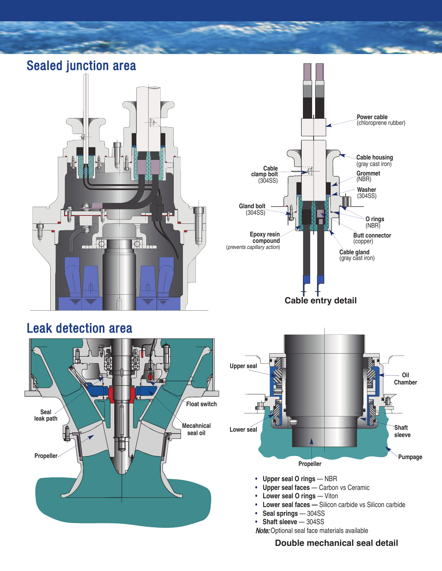Sealed junction area  $\Theta$ C









- **Upper seal O rings** NBR
- **Upper seal faces** Carbon vs Ceramic
- **Lower seal O rings** Viton
- **Lower seal faces —** Silicon carbide vs Silicon carbide
- **Seal springs** 304SS
- **Shaft sleeve** 304SS

Note: Optional seal face materials available

### **Double mechanical seal detail**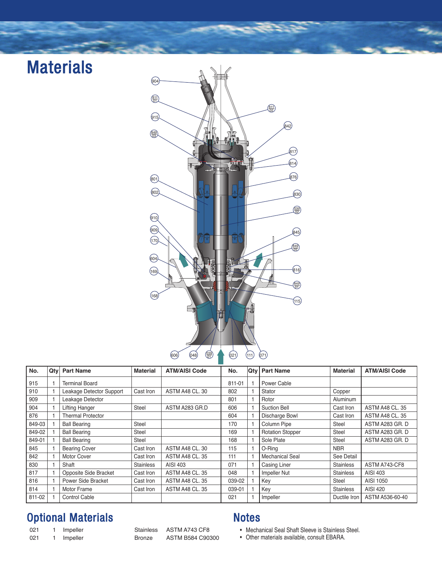## **Materials**



| No.    | Qty | <b>Part Name</b>         | <b>Material</b>  | <b>ATM/AISI Code</b>   | No.    | Qty | <b>Part Name</b>        | <b>Material</b>  | <b>ATM/AISI Code</b>   |
|--------|-----|--------------------------|------------------|------------------------|--------|-----|-------------------------|------------------|------------------------|
| 915    |     | <b>Terminal Board</b>    |                  |                        | 811-01 |     | Power Cable             |                  |                        |
| 910    |     | Leakage Detector Support | Cast Iron        | ASTM A48 CL, 30        | 802    |     | Stator                  | Copper           |                        |
| 909    |     | Leakage Detector         |                  |                        | 801    |     | Rotor                   | Aluminum         |                        |
| 904    |     | Lifting Hanger           | Steel            | ASTM A283 GR.D         | 606    |     | <b>Suction Bell</b>     | Cast Iron        | <b>ASTM A48 CL, 35</b> |
| 876    |     | <b>Thermal Protector</b> |                  |                        | 604    |     | Discharge Bowl          | Cast Iron        | <b>ASTM A48 CL, 35</b> |
| 849-03 |     | <b>Ball Bearing</b>      | Steel            |                        | 170    |     | Column Pipe             | Steel            | ASTM A283 GR. D        |
| 849-02 |     | <b>Ball Bearing</b>      | Steel            |                        | 169    |     | <b>Rotation Stopper</b> | <b>Steel</b>     | ASTM A283 GR. D        |
| 849-01 |     | <b>Ball Bearing</b>      | Steel            |                        | 168    |     | Sole Plate              | <b>Steel</b>     | ASTM A283 GR. D        |
| 845    |     | <b>Bearing Cover</b>     | Cast Iron        | <b>ASTM A48 CL, 30</b> | 115    |     | O-Ring                  | <b>NBR</b>       |                        |
| 842    |     | Motor Cover              | Cast Iron        | <b>ASTM A48 CL, 35</b> | 111    |     | <b>Mechanical Seal</b>  | See Detail       |                        |
| 830    |     | Shaft                    | <b>Stainless</b> | AISI 403               | 071    |     | Casing Liner            | <b>Stainless</b> | ASTM A743-CF8          |
| 817    |     | Opposite Side Bracket    | Cast Iron        | <b>ASTM A48 CL, 35</b> | 048    |     | Impeller Nut            | <b>Stainless</b> | AISI 403               |
| 816    |     | Power Side Bracket       | Cast Iron        | <b>ASTM A48 CL, 35</b> | 039-02 |     | Key                     | Steel            | AISI 1050              |
| 814    |     | Motor Frame              | Cast Iron        | <b>ASTM A48 CL, 35</b> | 039-01 |     | Key                     | <b>Stainless</b> | AISI 420               |
| 811-02 |     | <b>Control Cable</b>     |                  |                        | 021    |     | Impeller                | Ductile Iron     | ASTM A536-60-40        |

### Optional Materials Notes

021 1 Impeller Stainless ASTM A743 CF8 021 1 Impeller Bronze ASTM B584 C90300

- Mechanical Seal Shaft Sleeve is Stainless Steel.
- Other materials available, consult EBARA.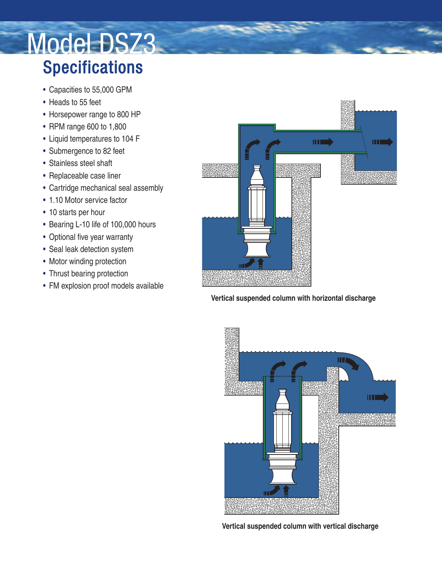## Model DSZ3 Specifications

- Capacities to 55,000 GPM
- Heads to 55 feet
- Horsepower range to 800 HP
- RPM range 600 to 1,800
- Liquid temperatures to 104 F
- Submergence to 82 feet
- Stainless steel shaft
- Replaceable case liner
- Cartridge mechanical seal assembly
- 1.10 Motor service factor
- 10 starts per hour
- Bearing L-10 life of 100,000 hours
- Optional five year warranty
- Seal leak detection system
- Motor winding protection
- Thrust bearing protection
- FM explosion proof models available



### **Vertical suspended column with horizontal discharge**



**Vertical suspended column with vertical discharge**